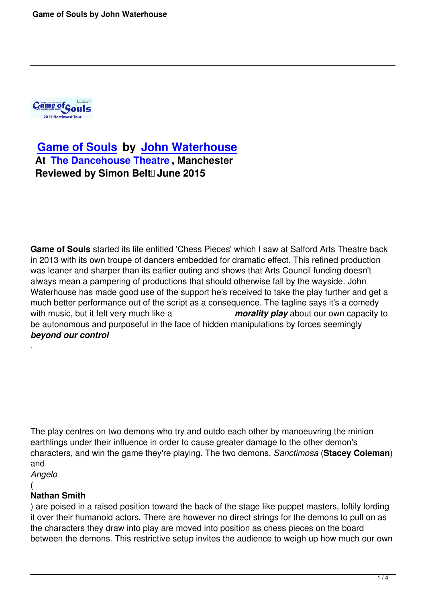

# **Game of Souls by John Waterhouse At The Dancehouse Theatre , Manchester [Reviewed by Simo](game-of-souls.html)n Belt<sup>1</sup> June 2015**

**Game of Souls** started its life entitled 'Chess Pieces' which I saw at Salford Arts Theatre back in 2013 with its own troupe of dancers embedded for dramatic effect. This refined production was leaner and sharper than its earlier outing and shows that Arts Council funding doesn't always mean a pampering of productions that should otherwise fall by the wayside. John Waterhouse has made good use of the support he's received to take the play further and get a much better performance out of the script as a consequence. The tagline says it's a comedy with music, but it felt very much like a *morality play* about our own capacity to be autonomous and purposeful in the face of hidden manipulations by forces seemingly *beyond our control*

The play centres on two demons who try and outdo each other by manoeuvring the minion earthlings under their influence in order to cause greater damage to the other demon's characters, and win the game they're playing. The two demons, *Sanctimosa* (**Stacey Coleman**) and

*Angelo*

#### (

.

## **Nathan Smith**

) are poised in a raised position toward the back of the stage like puppet masters, loftily lording it over their humanoid actors. There are however no direct strings for the demons to pull on as the characters they draw into play are moved into position as chess pieces on the board between the demons. This restrictive setup invites the audience to weigh up how much our own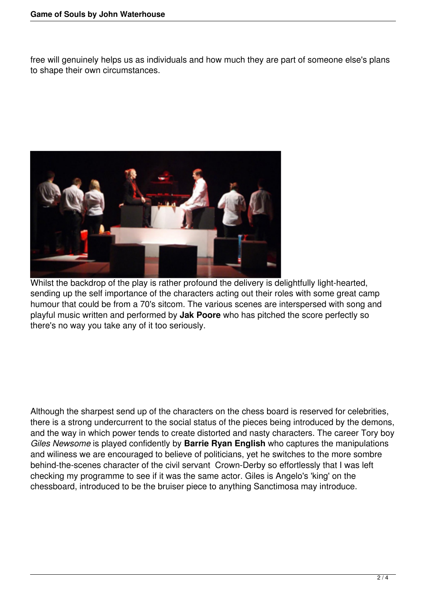free will genuinely helps us as individuals and how much they are part of someone else's plans to shape their own circumstances.



Whilst the backdrop of the play is rather profound the delivery is delightfully light-hearted, sending up the self importance of the characters acting out their roles with some great camp humour that could be from a 70's sitcom. The various scenes are interspersed with song and playful music written and performed by **Jak Poore** who has pitched the score perfectly so there's no way you take any of it too seriously.

Although the sharpest send up of the characters on the chess board is reserved for celebrities, there is a strong undercurrent to the social status of the pieces being introduced by the demons, and the way in which power tends to create distorted and nasty characters. The career Tory boy *Giles Newsome* is played confidently by **Barrie Ryan English** who captures the manipulations and wiliness we are encouraged to believe of politicians, yet he switches to the more sombre behind-the-scenes character of the civil servant Crown-Derby so effortlessly that I was left checking my programme to see if it was the same actor. Giles is Angelo's 'king' on the chessboard, introduced to be the bruiser piece to anything Sanctimosa may introduce.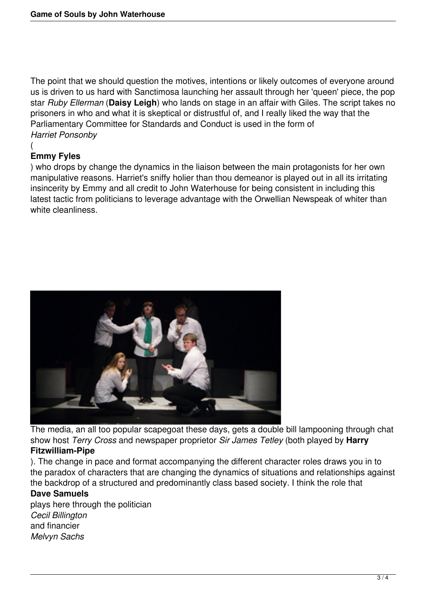The point that we should question the motives, intentions or likely outcomes of everyone around us is driven to us hard with Sanctimosa launching her assault through her 'queen' piece, the pop star *Ruby Ellerman* (**Daisy Leigh**) who lands on stage in an affair with Giles. The script takes no prisoners in who and what it is skeptical or distrustful of, and I really liked the way that the Parliamentary Committee for Standards and Conduct is used in the form of *Harriet Ponsonby*

#### ( **Emmy Fyles**

) who drops by change the dynamics in the liaison between the main protagonists for her own manipulative reasons. Harriet's sniffy holier than thou demeanor is played out in all its irritating insincerity by Emmy and all credit to John Waterhouse for being consistent in including this latest tactic from politicians to leverage advantage with the Orwellian Newspeak of whiter than white cleanliness.



The media, an all too popular scapegoat these days, gets a double bill lampooning through chat show host *Terry Cross* and newspaper proprietor *Sir James Tetley* (both played by **Harry Fitzwilliam-Pipe**

). The change in pace and format accompanying the different character roles draws you in to the paradox of characters that are changing the dynamics of situations and relationships against the backdrop of a structured and predominantly class based society. I think the role that

### **Dave Samuels**

plays here through the politician *Cecil Billington* and financier *Melvyn Sachs*